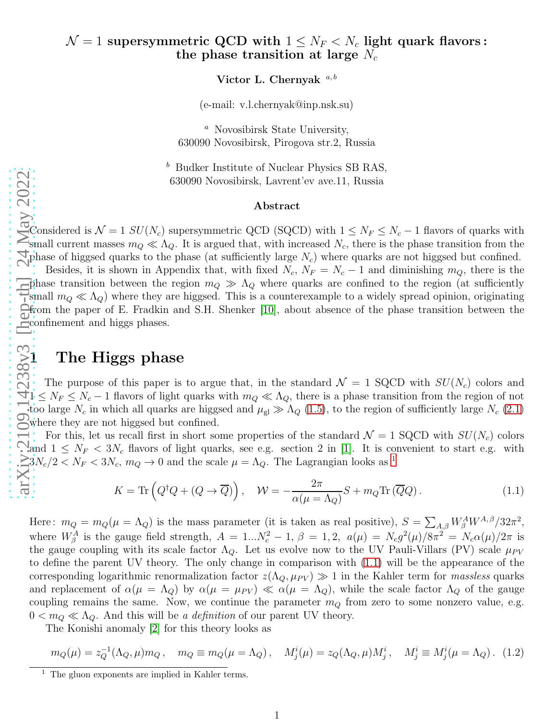Victor L. Chernyak  $a, b$ 

(e-mail: v.l.chernyak@inp.nsk.su)

<sup>a</sup> Novosibirsk State University, 630090 Novosibirsk, Pirogova str.2, Russia

 $<sup>b</sup>$  Budker Institute of Nuclear Physics SB RAS,</sup> 630090 Novosibirsk, Lavrent'ev ave.11, Russia

#### Abstract

Considered is  $\mathcal{N} = 1$   $SU(N_c)$  supersymmetric QCD (SQCD) with  $1 \le N_F \le N_c - 1$  flavors of quarks with small current masses  $m_Q \ll \Lambda_Q$ . It is argued that, with increased  $N_c$ , there is the phase transition from the phase of higgsed quarks to the phase (at sufficiently large  $N_c$ ) where quarks are not higgsed but confined.

 $\frac{\text{arXiv:2109.14238v3 [heptth]}{g}}{\text{arXi}} \frac{24 \text{ May } 2022}{g}$ Besides, it is shown in Appendix that, with fixed  $N_c$ ,  $N_F = N_c - 1$  and diminishing  $m_Q$ , there is the phase transition between the region  $m_Q \gg \Lambda_Q$  where quarks are confined to the region (at sufficiently small  $m_Q \ll \Lambda_Q$ ) where they are higgsed. This is a counterexample to a widely spread opinion, originating from the paper of E. Fradkin and S.H. Shenker [\[10\]](#page-7-0), about absence of the phase transition between the confinement and higgs phases.

# 1 The Higgs phase

The purpose of this paper is to argue that, in the standard  $\mathcal{N} = 1$  SQCD with  $SU(N_c)$  colors and  $1 \leq N_F \leq N_c - 1$  flavors of light quarks with  $m_Q \ll \Lambda_Q$ , there is a phase transition from the region of not too large  $N_c$  in which all quarks are higgsed and  $\mu_{gl} \gg \Lambda_Q$  [\(1.5\)](#page-1-0), to the region of sufficiently large  $N_c$  [\(2.1\)](#page-3-0) where they are not higgsed but confined.

For this, let us recall first in short some properties of the standard  $\mathcal{N} = 1$  SQCD with  $SU(N_c)$  colors and  $1 \leq N_F < 3N_c$  flavors of light quarks, see e.g. section 2 in [\[1\]](#page-7-1). It is convenient to start e.g. with  $3N_c/2 < N_F < 3N_c$ ,  $m_Q \to 0$  and the scale  $\mu = \Lambda_Q$ . The Lagrangian looks as <sup>[1](#page-0-0)</sup>

<span id="page-0-1"></span>
$$
K = \text{Tr}\left(Q^{\dagger}Q + (Q \to \overline{Q})\right), \quad \mathcal{W} = -\frac{2\pi}{\alpha(\mu = \Lambda_Q)}S + m_Q \text{Tr}\left(\overline{Q}Q\right). \tag{1.1}
$$

Here:  $m_Q = m_Q(\mu = \Lambda_Q)$  is the mass parameter (it is taken as real positive),  $S = \sum_{A,\beta} W^A_{\beta} W^{A,\beta} / 32\pi^2$ , where  $W_{\beta}^{A}$  is the gauge field strength,  $A = 1...N_c^2 - 1$ ,  $\beta = 1, 2$ ,  $a(\mu) = N_c g^2(\mu)/8\pi^2 = N_c \alpha(\mu)/2\pi$  is the gauge coupling with its scale factor  $\Lambda_Q$ . Let us evolve now to the UV Pauli-Villars (PV) scale  $\mu_{PV}$ to define the parent UV theory. The only change in comparison with [\(1.1\)](#page-0-1) will be the appearance of the corresponding logarithmic renormalization factor  $z(\Lambda_Q, \mu_{PV}) \gg 1$  in the Kahler term for *massless* quarks and replacement of  $\alpha(\mu = \Lambda_Q)$  by  $\alpha(\mu = \mu_{PV}) \ll \alpha(\mu = \Lambda_Q)$ , while the scale factor  $\Lambda_Q$  of the gauge coupling remains the same. Now, we continue the parameter  $m_Q$  from zero to some nonzero value, e.g.  $0 < m_Q \ll \Lambda_Q$ . And this will be a definition of our parent UV theory.

The Konishi anomaly [\[2\]](#page-7-2) for this theory looks as

<span id="page-0-2"></span>
$$
m_Q(\mu) = z_Q^{-1}(\Lambda_Q, \mu) m_Q \,, \quad m_Q \equiv m_Q(\mu = \Lambda_Q) \,, \quad M^i_j(\mu) = z_Q(\Lambda_Q, \mu) M^i_j \,, \quad M^i_j \equiv M^i_j(\mu = \Lambda_Q) \,. \tag{1.2}
$$

<span id="page-0-0"></span> $<sup>1</sup>$  The gluon exponents are implied in Kahler terms.</sup>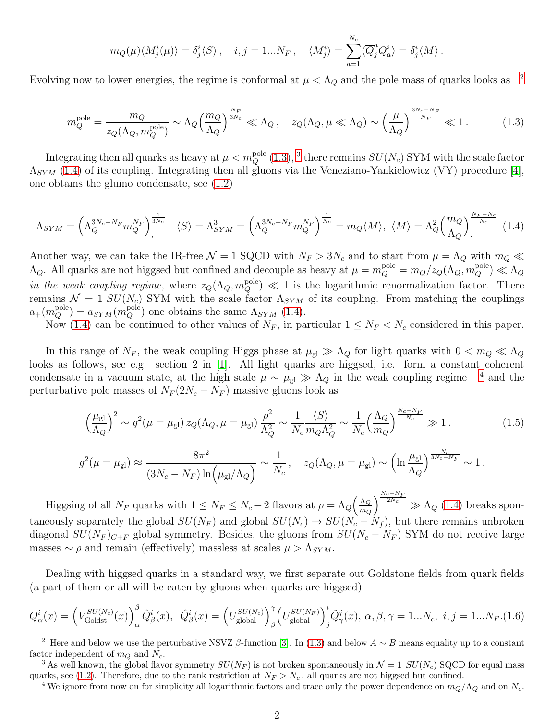$$
m_Q(\mu)\langle M_j^i(\mu)\rangle = \delta_j^i\langle S\rangle\,, \quad i, j = 1...N_F\,, \quad \langle M_j^i\rangle = \sum_{a=1}^{N_c} \langle \overline{Q}_j^a Q_a^i \rangle = \delta_j^i \langle M \rangle\,.
$$

Evolving now to lower energies, the regime is conformal at  $\mu < \Lambda_Q$  and the pole mass of quarks looks as <sup>[2](#page-1-1)</sup>

<span id="page-1-2"></span>
$$
m_Q^{\text{pole}} = \frac{m_Q}{z_Q(\Lambda_Q, m_Q^{\text{pole}})} \sim \Lambda_Q \Big(\frac{m_Q}{\Lambda_Q}\Big)^{\frac{N_F}{3N_c}} \ll \Lambda_Q \,, \quad z_Q(\Lambda_Q, \mu \ll \Lambda_Q) \sim \left(\frac{\mu}{\Lambda_Q}\right)^{\frac{3N_c - N_F}{N_F}} \ll 1 \,. \tag{1.3}
$$

Integrating then all quarks as heavy at  $\mu < m_Q^{\text{pole}}(1.3)$  $\mu < m_Q^{\text{pole}}(1.3)$ , <sup>[3](#page-1-3)</sup> there remains  $SU(N_c)$  SYM with the scale factor  $\Lambda_{SYM}$  [\(1.4\)](#page-1-4) of its coupling. Integrating then all gluons via the Veneziano-Yankielowicz (VY) procedure [\[4\]](#page-7-3), one obtains the gluino condensate, see [\(1.2\)](#page-0-2)

<span id="page-1-4"></span>
$$
\Lambda_{SYM} = \left(\Lambda_Q^{3N_c - N_F} m_Q^{N_F}\right)_\gamma^{\frac{1}{3N_c}} \quad \langle S \rangle = \Lambda_{SYM}^3 = \left(\Lambda_Q^{3N_c - N_F} m_Q^{N_F}\right)_\gamma^{\frac{1}{N_c}} = m_Q \langle M \rangle, \ \langle M \rangle = \Lambda_Q^2 \left(\frac{m_Q}{\Lambda_Q}\right)_\gamma^{\frac{N_F - N_c}{N_c}} \ (1.4)
$$

Another way, we can take the IR-free  $\mathcal{N} = 1$  SQCD with  $N_F > 3N_c$  and to start from  $\mu = \Lambda_Q$  with  $m_Q \ll$  $\Lambda_Q$ . All quarks are not higgsed but confined and decouple as heavy at  $\mu = m_Q^{\text{pole}} = m_Q/z_Q(\Lambda_Q, m_Q^{\text{pole}}) \ll \Lambda_Q$ in the weak coupling regime, where  $z_Q(\Lambda_Q, m_Q^{\text{pole}}) \ll 1$  is the logarithmic renormalization factor. There remains  $\mathcal{N} = 1$  SU(N<sub>c</sub>) SYM with the scale factor  $\Lambda_{SYM}$  of its coupling. From matching the couplings  $a_{+}(m_{Q}^{\text{pole}}) = a_{SYM}(m_{Q}^{\text{pole}})$  one obtains the same  $\Lambda_{SYM}$  [\(1.4\)](#page-1-4).

Now [\(1.4\)](#page-1-4) can be continued to other values of  $N_F$ , in particular  $1 \le N_F < N_c$  considered in this paper.

In this range of  $N_F$ , the weak coupling Higgs phase at  $\mu_{gl} \gg \Lambda_Q$  for light quarks with  $0 < m_Q \ll \Lambda_Q$ looks as follows, see e.g. section 2 in [\[1\]](#page-7-1). All light quarks are higgsed, i.e. form a constant coherent condensate in a vacuum state, at the high scale  $\mu \sim \mu_{gl} \gg \Lambda_Q$  in the weak coupling regime <sup>[4](#page-1-5)</sup> and the perturbative pole masses of  $N_F(2N_c - N_F)$  massive gluons look as

<span id="page-1-0"></span>
$$
\left(\frac{\mu_{\rm gl}}{\Lambda_Q}\right)^2 \sim g^2(\mu = \mu_{\rm gl}) z_Q(\Lambda_Q, \mu = \mu_{\rm gl}) \frac{\rho^2}{\Lambda_Q^2} \sim \frac{1}{N_c} \frac{\langle S \rangle}{m_Q \Lambda_Q^2} \sim \frac{1}{N_c} \left(\frac{\Lambda_Q}{m_Q}\right)^{\frac{N_c - N_F}{N_c}} \gg 1. \tag{1.5}
$$

$$
g^2(\mu = \mu_{\rm gl}) \approx \frac{8\pi^2}{(3N_c - N_F)\ln(\mu_{\rm gl}/\Lambda_Q)} \sim \frac{1}{N_c}, \quad z_Q(\Lambda_Q, \mu = \mu_{\rm gl}) \sim \left(\ln \frac{\mu_{\rm gl}}{\Lambda_Q}\right)^{\frac{N_c}{3N_c - N_F}} \sim 1.
$$

Higgsing of all  $N_F$  quarks with  $1 \le N_F \le N_c - 2$  flavors at  $\rho = \Lambda_Q \left( \frac{\Lambda_Q}{m_Q} \right)$  $m_Q$  $\sqrt{\frac{N_c-N_F}{2N_c}}$  $\sqrt{2N_c}$   $\gg \Lambda_Q$  [\(1.4\)](#page-1-4) breaks spontaneously separately the global  $SU(N_F)$  and global  $SU(N_c) \rightarrow SU(N_c - N_f)$ , but there remains unbroken diagonal  $SU(N_F)_{C+F}$  global symmetry. Besides, the gluons from  $SU(N_c - N_F)$  SYM do not receive large masses  $\sim \rho$  and remain (effectively) massless at scales  $\mu > \Lambda_{SYM}$ .

Dealing with higgsed quarks in a standard way, we first separate out Goldstone fields from quark fields (a part of them or all will be eaten by gluons when quarks are higgsed)

<span id="page-1-6"></span>
$$
Q_{\alpha}^{i}(x) = \left(V_{\text{Goldst}}^{SU(N_c)}(x)\right)_{\alpha}^{\beta} \hat{Q}_{\beta}^{i}(x), \quad \hat{Q}_{\beta}^{i}(x) = \left(U_{\text{global}}^{SU(N_c)}\right)_{\beta}^{\gamma} \left(U_{\text{global}}^{SU(N_F)}\right)_{j}^{i} \tilde{Q}_{\gamma}^{j}(x), \alpha, \beta, \gamma = 1...N_c, \ i, j = 1...N_F. (1.6)
$$

<span id="page-1-1"></span><sup>&</sup>lt;sup>2</sup> Here and below we use the perturbative NSVZ β-function [\[3\]](#page-7-4). In [\(1.3\)](#page-1-2) and below  $A \sim B$  means equality up to a constant factor independent of  $m_Q$  and  $N_c$ .

<sup>&</sup>lt;sup>3</sup> As well known, the global flavor symmetry  $SU(N_F)$  is not broken spontaneously in  $\mathcal{N}=1$   $SU(N_c)$  SQCD for equal mass quarks, see [\(1.2\)](#page-0-2). Therefore, due to the rank restriction at  $N_F > N_c$ , all quarks are not higgsed but confined.

<span id="page-1-5"></span><span id="page-1-3"></span><sup>&</sup>lt;sup>4</sup> We ignore from now on for simplicity all logarithmic factors and trace only the power dependence on  $m_Q/\Lambda_Q$  and on  $N_c$ .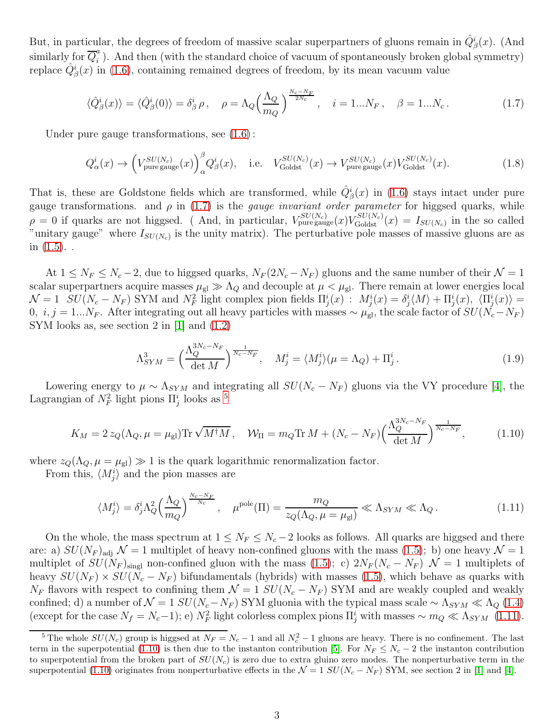But, in particular, the degrees of freedom of massive scalar superpartners of gluons remain in  $\hat{Q}_{\beta}^{i}(x)$ . (And similarly for  $\overline{Q}_{i}^{a}$  $\binom{a}{i}$ . And then (with the standard choice of vacuum of spontaneously broken global symmetry) replace  $\hat{Q}^i_{\beta}(x)$  in [\(1.6\)](#page-1-6), containing remained degrees of freedom, by its mean vacuum value

<span id="page-2-0"></span>
$$
\langle \hat{Q}_{\beta}^{i}(x) \rangle = \langle \hat{Q}_{\beta}^{i}(0) \rangle = \delta_{\beta}^{i} \rho \,, \quad \rho = \Lambda_{Q} \left( \frac{\Lambda_{Q}}{m_{Q}} \right)^{\frac{N_{c} - N_{F}}{2N_{c}}}, \quad i = 1...N_{F}, \quad \beta = 1...N_{c} \,. \tag{1.7}
$$

Under pure gauge transformations, see [\(1.6\)](#page-1-6) :

$$
Q_{\alpha}^{i}(x) \rightarrow \left(V_{\text{pure gauge}}^{SU(N_c)}(x)\right)_{\alpha}^{\beta} Q_{\beta}^{i}(x), \quad \text{i.e.} \quad V_{\text{Goldst}}^{SU(N_c)}(x) \rightarrow V_{\text{pure gauge}}^{SU(N_c)}(x) V_{\text{Goldst}}^{SU(N_c)}(x). \tag{1.8}
$$

That is, these are Goldstone fields which are transformed, while  $\hat{Q}_{\beta}^{i}(x)$  in [\(1.6\)](#page-1-6) stays intact under pure gauge transformations. and  $\rho$  in [\(1.7\)](#page-2-0) is the *gauge invariant order parameter* for higgsed quarks, while  $\rho = 0$  if quarks are not higgsed. (And, in particular,  $V_{\text{pure gauge}}^{SU(N_c)}(x) V_{\text{Goldst}}^{SU(N_c)}(x) = I_{SU(N_c)}$  in the so called "unitary gauge" where  $I_{SU(N_c)}$  is the unity matrix). The perturbative pole masses of massive gluons are as in  $(1.5)$ ...

At  $1 \le N_F \le N_c - 2$ , due to higgsed quarks,  $N_F(2N_c - N_F)$  gluons and the same number of their  $\mathcal{N} = 1$ scalar superpartners acquire masses  $\mu_{gl} \gg \Lambda_Q$  and decouple at  $\mu < \mu_{gl}$ . There remain at lower energies local  $\mathcal{N}=1$   $SU(N_c-N_F)$  SYM and  $N_F^2$  light complex pion fields  $\Pi^i_j(x)$  :  $M^i_j(x) = \delta^i_j\langle M\rangle + \Pi^i_j(x)$ ,  $\langle \Pi^i_j(x)\rangle =$ 0,  $i, j = 1...N_F$ . After integrating out all heavy particles with masses  $\sim \mu_{gl}$ , the scale factor of  $SU(N_c-N_F)$ SYM looks as, see section 2 in [\[1\]](#page-7-1) and [\(1.2\)](#page-0-2)

$$
\Lambda_{SYM}^3 = \left(\frac{\Lambda_Q^{3N_c - N_F}}{\det M}\right)^{\frac{1}{N_c - N_F}}, \quad M_j^i = \langle M_j^i \rangle (\mu = \Lambda_Q) + \Pi_j^i. \tag{1.9}
$$

Lowering energy to  $\mu \sim \Lambda_{SYM}$  and integrating all  $SU(N_c - N_F)$  gluons via the VY procedure [\[4\]](#page-7-3), the Lagrangian of  $N_F^2$  light pions  $\Pi^i_j$  looks as <sup>[5](#page-2-1)</sup>

<span id="page-2-3"></span>
$$
K_M = 2 z_Q(\Lambda_Q, \mu = \mu_{\rm gl}) \text{Tr} \sqrt{M^{\dagger} M}, \quad \mathcal{W}_{\rm II} = m_Q \text{Tr} M + (N_c - N_F) \left(\frac{\Lambda_Q^{3N_c - N_F}}{\det M}\right)^{\frac{1}{N_c - N_F}}, \tag{1.10}
$$

where  $z_Q(\Lambda_Q, \mu = \mu_{gl}) \gg 1$  is the quark logarithmic renormalization factor.

From this,  $\langle M_j^i \rangle$  and the pion masses are

<span id="page-2-2"></span>
$$
\langle M_j^i \rangle = \delta_j^i \Lambda_Q^2 \left( \frac{\Lambda_Q}{m_Q} \right)^{\frac{N_c - N_F}{N_c}}, \quad \mu^{\text{pole}}(\Pi) = \frac{m_Q}{z_Q(\Lambda_Q, \mu = \mu_{\text{gl}})} \ll \Lambda_{SYM} \ll \Lambda_Q. \tag{1.11}
$$

On the whole, the mass spectrum at  $1 \le N_F \le N_c - 2$  looks as follows. All quarks are higgsed and there are: a)  $SU(N_F)_{\text{adj}}$   $\mathcal{N}=1$  multiplet of heavy non-confined gluons with the mass [\(1.5\)](#page-1-0); b) one heavy  $\mathcal{N}=1$ multiplet of  $SU(N_F)_{\text{sing}}$  non-confined gluon with the mass [\(1.5\)](#page-1-0); c)  $2N_F(N_c - N_F)$  N = 1 multiplets of heavy  $SU(N_F) \times SU(N_c - N_F)$  bifundamentals (hybrids) with masses [\(1.5\)](#page-1-0), which behave as quarks with  $N_F$  flavors with respect to confining them  $\mathcal{N} = 1$   $SU(N_c - N_F)$  SYM and are weakly coupled and weakly confined; d) a number of  $\mathcal{N} = 1$   $SU(N_c-N_F)$  SYM gluonia with the typical mass scale ~  $\Lambda_{SYM} \ll \Lambda_Q$  [\(1.4\)](#page-1-4) (except for the case  $N_f = N_c - 1$ ); e)  $N_F^2$  light colorless complex pions  $\Pi_j^i$  with masses ~  $m_Q \ll \Lambda_{SYM}$  [\(1.11\)](#page-2-2).

<span id="page-2-1"></span><sup>&</sup>lt;sup>5</sup> The whole  $SU(N_c)$  group is higgsed at  $N_F = N_c - 1$  and all  $N_c^2 - 1$  gluons are heavy. There is no confinement. The last term in the superpotential [\(1.10\)](#page-2-3) is then due to the instanton contribution [\[5\]](#page-7-5). For  $N_F \le N_c - 2$  the instanton contribution to superpotential from the broken part of  $SU(N_c)$  is zero due to extra gluino zero modes. The nonperturbative term in the superpotential [\(1.10\)](#page-2-3) originates from nonperturbative effects in the  $\mathcal{N}=1$  SU( $N_c-N_F$ ) SYM, see section 2 in [\[1\]](#page-7-1) and [\[4\]](#page-7-3).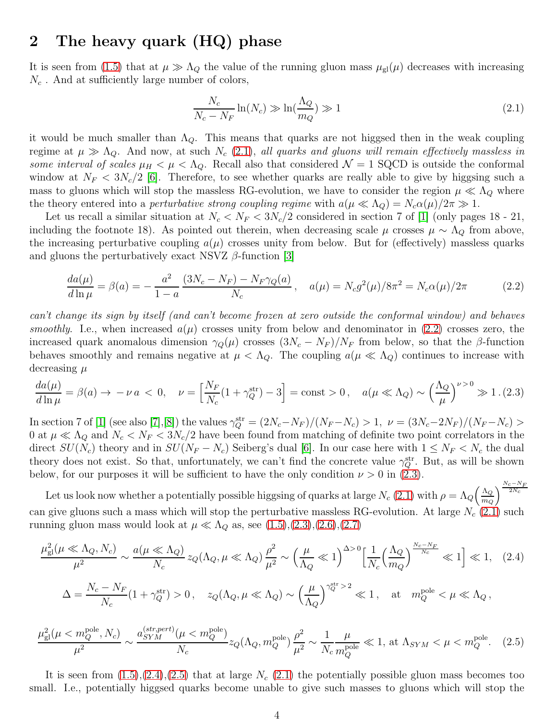### 2 The heavy quark (HQ) phase

It is seen from [\(1.5\)](#page-1-0) that at  $\mu \gg \Lambda_Q$  the value of the running gluon mass  $\mu_{gl}(\mu)$  decreases with increasing  $N_c$ . And at sufficiently large number of colors,

<span id="page-3-0"></span>
$$
\frac{N_c}{N_c - N_F} \ln(N_c) \gg \ln(\frac{\Lambda_Q}{m_Q}) \gg 1
$$
\n(2.1)

it would be much smaller than  $\Lambda_Q$ . This means that quarks are not higgsed then in the weak coupling regime at  $\mu \gg \Lambda_Q$ . And now, at such  $N_c$  [\(2.1\)](#page-3-0), all quarks and gluons will remain effectively massless in some interval of scales  $\mu_H < \mu < \Lambda_Q$ . Recall also that considered  $\mathcal{N} = 1$  SQCD is outside the conformal window at  $N_F < 3N_c/2$  [\[6\]](#page-7-6). Therefore, to see whether quarks are really able to give by higgsing such a mass to gluons which will stop the massless RG-evolution, we have to consider the region  $\mu \ll \Lambda_Q$  where the theory entered into a *perturbative strong coupling regime* with  $a(\mu \ll \Lambda_Q) = N_c \alpha(\mu)/2\pi \gg 1$ .

Let us recall a similar situation at  $N_c < N_F < 3N_c/2$  considered in section 7 of [\[1\]](#page-7-1) (only pages 18 - 21, including the footnote 18). As pointed out therein, when decreasing scale  $\mu$  crosses  $\mu \sim \Lambda_Q$  from above, the increasing perturbative coupling  $a(\mu)$  crosses unity from below. But for (effectively) massless quarks and gluons the perturbatively exact NSVZ  $\beta$ -function [\[3\]](#page-7-4)

<span id="page-3-1"></span>
$$
\frac{da(\mu)}{d\ln\mu} = \beta(a) = -\frac{a^2}{1-a} \frac{(3N_c - N_F) - N_F \gamma_Q(a)}{N_c}, \quad a(\mu) = N_c g^2(\mu)/8\pi^2 = N_c \alpha(\mu)/2\pi
$$
\n(2.2)

can't change its sign by itself (and can't become frozen at zero outside the conformal window) and behaves smoothly. I.e., when increased  $a(\mu)$  crosses unity from below and denominator in [\(2.2\)](#page-3-1) crosses zero, the increased quark anomalous dimension  $\gamma_Q(\mu)$  crosses  $(3N_c - N_F)/N_F$  from below, so that the β-function behaves smoothly and remains negative at  $\mu < \Lambda_Q$ . The coupling  $a(\mu \ll \Lambda_Q)$  continues to increase with decreasing  $\mu$ 

<span id="page-3-2"></span>
$$
\frac{da(\mu)}{d\ln\mu} = \beta(a) \to -\nu a < 0, \quad \nu = \left[\frac{N_F}{N_c}(1 + \gamma_Q^{\text{str}}) - 3\right] = \text{const} > 0, \quad a(\mu \ll \Lambda_Q) \sim \left(\frac{\Lambda_Q}{\mu}\right)^{\nu > 0} \gg 1. \tag{2.3}
$$

In section 7 of [\[1\]](#page-7-1) (see also [\[7\]](#page-7-7), [\[8\]](#page-7-8)) the values  $\gamma_Q^{\rm str} = (2N_c - N_F)/(N_F - N_c) > 1, \nu = (3N_c - 2N_F)/(N_F - N_c) > 0$ 0 at  $\mu \ll \Lambda_Q$  and  $N_c < N_F < 3N_c/2$  have been found from matching of definite two point correlators in the direct  $SU(N_c)$  theory and in  $SU(N_F - N_c)$  Seiberg's dual [\[6\]](#page-7-6). In our case here with  $1 \le N_F < N_c$  the dual theory does not exist. So that, unfortunately, we can't find the concrete value  $\gamma_Q^{\text{str}}$ . But, as will be shown below, for our purposes it will be sufficient to have the only condition  $\nu > 0$  in [\(2.3\)](#page-3-2).

Let us look now whether a potentially possible higgsing of quarks at large  $N_c$  [\(2.1\)](#page-3-0) with  $\rho = \Lambda_Q \left( \frac{\Lambda_Q}{m_Q} \right)$  $m_Q$  $\sqrt{\frac{N_c-N_F}{2N_c}}$ can give gluons such a mass which will stop the perturbative massless RG-evolution. At large  $N_c$  [\(2.1\)](#page-3-0) such running gluon mass would look at  $\mu \ll \Lambda_Q$  as, see  $(1.5), (2.3), (2.6), (2.7)$  $(1.5), (2.3), (2.6), (2.7)$  $(1.5), (2.3), (2.6), (2.7)$  $(1.5), (2.3), (2.6), (2.7)$  $(1.5), (2.3), (2.6), (2.7)$  $(1.5), (2.3), (2.6), (2.7)$ 

<span id="page-3-3"></span>
$$
\frac{\mu_{gl}^2(\mu \ll \Lambda_Q, N_c)}{\mu^2} \sim \frac{a(\mu \ll \Lambda_Q)}{N_c} z_Q(\Lambda_Q, \mu \ll \Lambda_Q) \frac{\rho^2}{\mu^2} \sim \left(\frac{\mu}{\Lambda_Q} \ll 1\right)^{\Delta > 0} \left[\frac{1}{N_c} \left(\frac{\Lambda_Q}{m_Q}\right)^{\frac{N_c - N_F}{N_c}} \ll 1\right] \ll 1, \quad (2.4)
$$
  

$$
\Delta = \frac{N_c - N_F}{N_c} (1 + \gamma_Q^{\text{str}}) > 0, \quad z_Q(\Lambda_Q, \mu \ll \Lambda_Q) \sim \left(\frac{\mu}{\Lambda_Q}\right)^{\gamma_Q^{\text{str}} > 2} \ll 1, \quad \text{at} \quad m_Q^{\text{pole}} < \mu \ll \Lambda_Q,
$$

<span id="page-3-4"></span>
$$
\frac{\mu_{\rm gl}^2(\mu < m_Q^{\rm pole}, N_c)}{\mu^2} \sim \frac{a_{SYM}^{(str,pert)}(\mu < m_Q^{\rm pole})}{N_c} z_Q(\Lambda_Q, m_Q^{\rm pole}) \frac{\rho^2}{\mu^2} \sim \frac{1}{N_c} \frac{\mu}{m_Q^{\rm pole}} \ll 1, \text{ at } \Lambda_{SYM} < \mu < m_Q^{\rm pole}.\tag{2.5}
$$

It is seen from  $(1.5),(2.4),(2.5)$  $(1.5),(2.4),(2.5)$  $(1.5),(2.4),(2.5)$  $(1.5),(2.4),(2.5)$  that at large  $N_c$  [\(2.1\)](#page-3-0) the potentially possible gluon mass becomes too small. I.e., potentially higgsed quarks become unable to give such masses to gluons which will stop the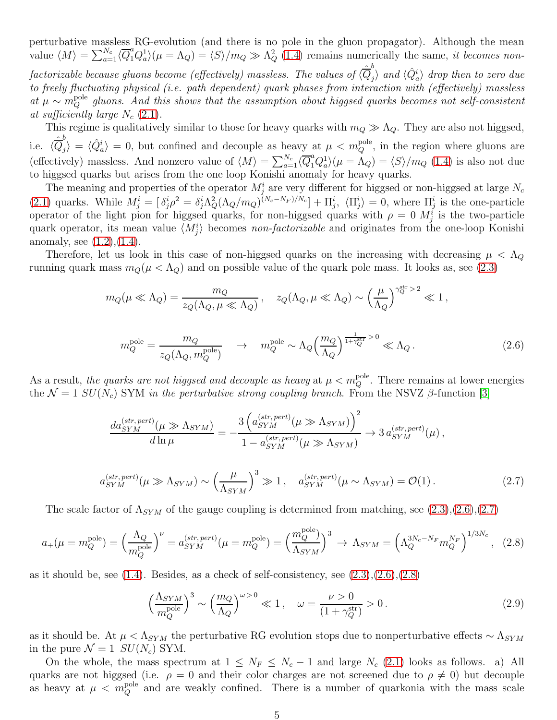perturbative massless RG-evolution (and there is no pole in the gluon propagator). Although the mean value  $\langle M \rangle = \sum_{a=1}^{N_c} \langle \overline{Q}_1^a Q_a^1 \rangle (\mu = \Lambda_Q) = \langle S \rangle / m_Q \gg \Lambda_Q^2$  [\(1.4\)](#page-1-4) remains numerically the same, *it becomes non*factorizable because gluons become (effectively) massless. The values of  $\langle \hat{\overline{Q}}_j^b \rangle$  $\ket{\hat{Q}_a^i}$  drop then to zero due to freely fluctuating physical (i.e. path dependent) quark phases from interaction with (effectively) massless at  $\mu \sim m_Q^{\text{pole}}$  gluons. And this shows that the assumption about higgsed quarks becomes not self-consistent at sufficiently large  $N_c$  [\(2.1\)](#page-3-0).

This regime is qualitatively similar to those for heavy quarks with  $m_Q \gg \Lambda_Q$ . They are also not higgsed, i.e.  $\langle \hat{\overline{Q}}_j^b$  $\langle \hat{Q}_a^i \rangle = \langle \hat{Q}_a^i \rangle = 0$ , but confined and decouple as heavy at  $\mu < m_Q^{\text{pole}}$ , in the region where gluons are (effectively) massless. And nonzero value of  $\langle M \rangle = \sum_{a=1}^{N_c} \langle \overline{Q}_1^a Q_a^1 \rangle (\mu = \Lambda_Q) = \langle S \rangle / m_Q$  [\(1.4\)](#page-1-4) is also not due to higgsed quarks but arises from the one loop Konishi anomaly for heavy quarks.

The meaning and properties of the operator  $M_j^i$  are very different for higgsed or non-higgsed at large  $N_c$ [\(2.1\)](#page-3-0) quarks. While  $M_j^i = \left[\delta_j^i \rho^2 = \delta_j^i \Lambda_Q^2 (\Lambda_Q/m_Q)^{(N_c-N_F)/N_c}\right] + \Pi_j^i$ ,  $\langle \Pi_j^i \rangle = 0$ , where  $\Pi_j^i$  is the one-particle operator of the light pion for higgsed quarks, for non-higgsed quarks with  $\rho = 0$   $M_j^i$  is the two-particle quark operator, its mean value  $\langle M_j^i \rangle$  becomes non-factorizable and originates from the one-loop Konishi anomaly, see  $(1.2)$ , $(1.4)$ .

Therefore, let us look in this case of non-higgsed quarks on the increasing with decreasing  $\mu < \Lambda_Q$ running quark mass  $m_Q(\mu < \Lambda_Q)$  and on possible value of the quark pole mass. It looks as, see [\(2.3\)](#page-3-2)

$$
m_Q(\mu \ll \Lambda_Q) = \frac{m_Q}{z_Q(\Lambda_Q, \mu \ll \Lambda_Q)}, \quad z_Q(\Lambda_Q, \mu \ll \Lambda_Q) \sim \left(\frac{\mu}{\Lambda_Q}\right)^{\gamma^{\rm str}_Q > 2} \ll 1,
$$

<span id="page-4-0"></span>
$$
m_Q^{\text{pole}} = \frac{m_Q}{z_Q(\Lambda_Q, m_Q^{\text{pole}})} \quad \to \quad m_Q^{\text{pole}} \sim \Lambda_Q \Big(\frac{m_Q}{\Lambda_Q}\Big)^{\frac{1}{1+\gamma_Q^{\text{str}}} > 0} \ll \Lambda_Q. \tag{2.6}
$$

As a result, the quarks are not higgsed and decouple as heavy at  $\mu < m_Q^{\text{pole}}$ . There remains at lower energies the  $\mathcal{N} = 1$  SU(N<sub>c</sub>) SYM in the perturbative strong coupling branch. From the NSVZ  $\beta$ -function [\[3\]](#page-7-4)

$$
\frac{da_{SYM}^{(str,pert)}(\mu \gg \Lambda_{SYM})}{d\ln \mu} = -\frac{3\left(a_{SYM}^{(str,pert)}(\mu \gg \Lambda_{SYM})\right)^2}{1 - a_{SYM}^{(str,pert)}(\mu \gg \Lambda_{SYM})} \rightarrow 3 a_{SYM}^{(str,pert)}(\mu) ,
$$

<span id="page-4-1"></span>
$$
a_{SYM}^{(str,pert)}(\mu \gg \Lambda_{SYM}) \sim \left(\frac{\mu}{\Lambda_{SYM}}\right)^3 \gg 1, \quad a_{SYM}^{(str,pert)}(\mu \sim \Lambda_{SYM}) = \mathcal{O}(1). \tag{2.7}
$$

The scale factor of  $\Lambda_{SYM}$  of the gauge coupling is determined from matching, see  $(2.3),(2.6),(2.7)$  $(2.3),(2.6),(2.7)$  $(2.3),(2.6),(2.7)$  $(2.3),(2.6),(2.7)$ 

<span id="page-4-2"></span>
$$
a_{+}(\mu=m_{Q}^{\text{pole}}) = \left(\frac{\Lambda_{Q}}{m_{Q}^{\text{pole}}}\right)^{\nu} = a_{SYM}^{(str,pert)}(\mu=m_{Q}^{\text{pole}}) = \left(\frac{m_{Q}^{\text{pole}}}{\Lambda_{SYM}}\right)^{3} \rightarrow \Lambda_{SYM} = \left(\Lambda_{Q}^{3N_{c}-N_{F}}m_{Q}^{N_{F}}\right)^{1/3N_{c}},
$$
 (2.8)

as it should be, see  $(1.4)$ . Besides, as a check of self-consistency, see  $(2.3),(2.6),(2.8)$  $(2.3),(2.6),(2.8)$  $(2.3),(2.6),(2.8)$  $(2.3),(2.6),(2.8)$ 

<span id="page-4-3"></span>
$$
\left(\frac{\Lambda_{SYM}}{m_Q^{\text{pole}}}\right)^3 \sim \left(\frac{m_Q}{\Lambda_Q}\right)^{\omega > 0} \ll 1, \quad \omega = \frac{\nu > 0}{(1 + \gamma_Q^{\text{str}})} > 0. \tag{2.9}
$$

as it should be. At  $\mu < \Lambda_{SYM}$  the perturbative RG evolution stops due to nonperturbative effects  $\sim \Lambda_{SYM}$ in the pure  $\mathcal{N} = 1$   $SU(N_c)$  SYM.

On the whole, the mass spectrum at  $1 \leq N_F \leq N_c - 1$  and large  $N_c$  [\(2.1\)](#page-3-0) looks as follows. a) All quarks are not higgsed (i.e.  $\rho = 0$  and their color charges are not screened due to  $\rho \neq 0$ ) but decouple as heavy at  $\mu < m_Q^{\text{pole}}$  and are weakly confined. There is a number of quarkonia with the mass scale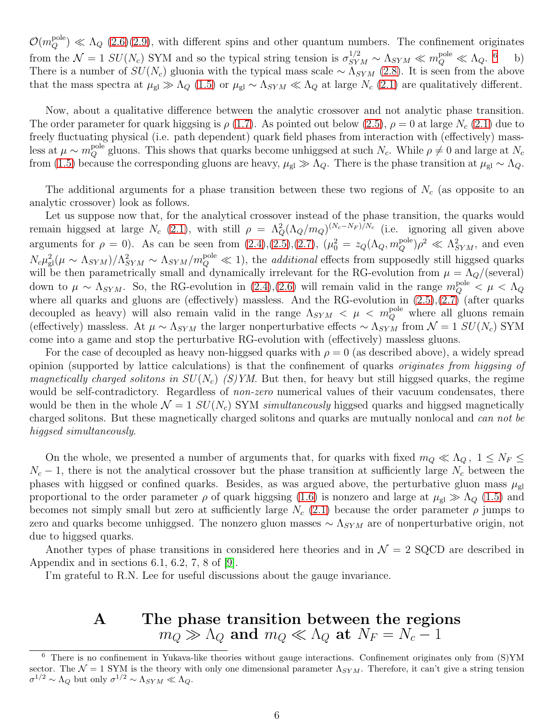$\mathcal{O}(m_Q^{\text{pole}}) \ll \Lambda_Q$  [\(2.6\)](#page-4-0)[\(2.9\)](#page-4-3), with different spins and other quantum numbers. The confinement originates from the  $\mathcal{N} = 1$   $SU(N_c)$  SYM and so the typical string tension is  $\sigma_{SYM}^{1/2} \sim \Lambda_{SYM} \ll m_Q^{\text{pole}} \ll \Lambda_Q$ . <sup>[6](#page-5-0)</sup> b) There is a number of  $SU(N_c)$  gluonia with the typical mass scale ~  $\Lambda_{SYM}$  [\(2.8\)](#page-4-2). It is seen from the above that the mass spectra at  $\mu_{gl} \gg \Lambda_Q$  [\(1.5\)](#page-1-0) or  $\mu_{gl} \sim \Lambda_{SYM} \ll \Lambda_Q$  at large  $N_c$  [\(2.1\)](#page-3-0) are qualitatively different.

Now, about a qualitative difference between the analytic crossover and not analytic phase transition. The order parameter for quark higgsing is  $\rho$  [\(1.7\)](#page-2-0). As pointed out below [\(2.5\)](#page-3-4),  $\rho = 0$  at large  $N_c$  [\(2.1\)](#page-3-0) due to freely fluctuating physical (i.e. path dependent) quark field phases from interaction with (effectively) massless at  $\mu \sim m_Q^{\text{pole}}$  gluons. This shows that quarks become unhiggsed at such  $N_c$ . While  $\rho \neq 0$  and large at  $N_c$ from [\(1.5\)](#page-1-0) because the corresponding gluons are heavy,  $\mu_{gl} \gg \widetilde{\Lambda}_{Q}$ . There is the phase transition at  $\mu_{gl} \sim \Lambda_{Q}$ .

The additional arguments for a phase transition between these two regions of  $N_c$  (as opposite to an analytic crossover) look as follows.

Let us suppose now that, for the analytical crossover instead of the phase transition, the quarks would remain higgsed at large  $N_c$  [\(2.1\)](#page-3-0), with still  $\rho = \Lambda_Q^2 (\Lambda_Q/m_Q)^{(N_c-N_F)/N_c}$  (i.e. ignoring all given above arguments for  $\rho = 0$ ). As can be seen from  $(2.4), (2.5), (2.7), (\mu_0^2 = z_Q(\Lambda_Q, m_Q^{\text{pole}})\rho^2 \ll \Lambda_{SYM}^2$  $(2.4), (2.5), (2.7), (\mu_0^2 = z_Q(\Lambda_Q, m_Q^{\text{pole}})\rho^2 \ll \Lambda_{SYM}^2$  $(2.4), (2.5), (2.7), (\mu_0^2 = z_Q(\Lambda_Q, m_Q^{\text{pole}})\rho^2 \ll \Lambda_{SYM}^2$  $(2.4), (2.5), (2.7), (\mu_0^2 = z_Q(\Lambda_Q, m_Q^{\text{pole}})\rho^2 \ll \Lambda_{SYM}^2$  $(2.4), (2.5), (2.7), (\mu_0^2 = z_Q(\Lambda_Q, m_Q^{\text{pole}})\rho^2 \ll \Lambda_{SYM}^2$ , and even  $N_c\mu_{gl}^2(\mu \sim \Lambda_{SYM})/\Lambda_{SYM}^2 \sim \Lambda_{SYM}/m_Q^{\text{pole}} \ll 1$ , the *additional* effects from supposedly still higgsed quarks will be then parametrically small and dynamically irrelevant for the RG-evolution from  $\mu = \Lambda_Q/(\text{several})$ down to  $\mu \sim \Lambda_{SYM}$ . So, the RG-evolution in [\(2.4\)](#page-3-3),[\(2.6\)](#page-4-0) will remain valid in the range  $m_Q^{\text{pole}} < \mu < \Lambda_Q$ where all quarks and gluons are (effectively) massless. And the RG-evolution in [\(2.5\)](#page-3-4),[\(2.7\)](#page-4-1) (after quarks decoupled as heavy) will also remain valid in the range  $\Lambda_{SYM}$   $\lt \mu \lt m_Q^{\text{pole}}$  where all gluons remain (effectively) massless. At  $\mu \sim \Lambda_{SYM}$  the larger nonperturbative effects  $\sim \Lambda_{SYM}$  from  $\mathcal{N}=1$   $SU(N_c)$  SYM come into a game and stop the perturbative RG-evolution with (effectively) massless gluons.

For the case of decoupled as heavy non-higgsed quarks with  $\rho = 0$  (as described above), a widely spread opinion (supported by lattice calculations) is that the confinement of quarks originates from higgsing of *magnetically charged solitons in*  $SU(N_c)$  *(S)YM.* But then, for heavy but still higgsed quarks, the regime would be self-contradictory. Regardless of *non-zero* numerical values of their vacuum condensates, there would be then in the whole  $\mathcal{N} = 1$  SU(N<sub>c</sub>) SYM simultaneously higgsed quarks and higgsed magnetically charged solitons. But these magnetically charged solitons and quarks are mutually nonlocal and *can not be* higgsed simultaneously.

On the whole, we presented a number of arguments that, for quarks with fixed  $m_Q \ll \Lambda_Q$ ,  $1 \le N_F \le$  $N_c - 1$ , there is not the analytical crossover but the phase transition at sufficiently large  $N_c$  between the phases with higgsed or confined quarks. Besides, as was argued above, the perturbative gluon mass  $\mu_{gl}$ proportional to the order parameter  $\rho$  of quark higgsing [\(1.6\)](#page-1-6) is nonzero and large at  $\mu_{gl} \gg \Lambda_Q$  [\(1.5\)](#page-1-0) and becomes not simply small but zero at sufficiently large  $N_c$  [\(2.1\)](#page-3-0) because the order parameter  $\rho$  jumps to zero and quarks become unhiggsed. The nonzero gluon masses  $\sim \Lambda_{SYM}$  are of nonperturbative origin, not due to higgsed quarks.

Another types of phase transitions in considered here theories and in  $\mathcal{N} = 2$  SQCD are described in Appendix and in sections 6.1, 6.2, 7, 8 of [\[9\]](#page-7-9).

I'm grateful to R.N. Lee for useful discussions about the gauge invariance.

# A The phase transition between the regions  $m_Q \gg \Lambda_Q$  and  $m_Q \ll \Lambda_Q$  at  $N_F = N_c - 1$

<span id="page-5-0"></span><sup>6</sup> There is no confinement in Yukava-like theories without gauge interactions. Confinement originates only from (S)YM sector. The  $\mathcal{N} = 1$  SYM is the theory with only one dimensional parameter  $\Lambda_{SYM}$ . Therefore, it can't give a string tension  $\sigma^{1/2} \sim \Lambda_Q$  but only  $\sigma^{1/2} \sim \Lambda_{SYM} \ll \Lambda_Q$ .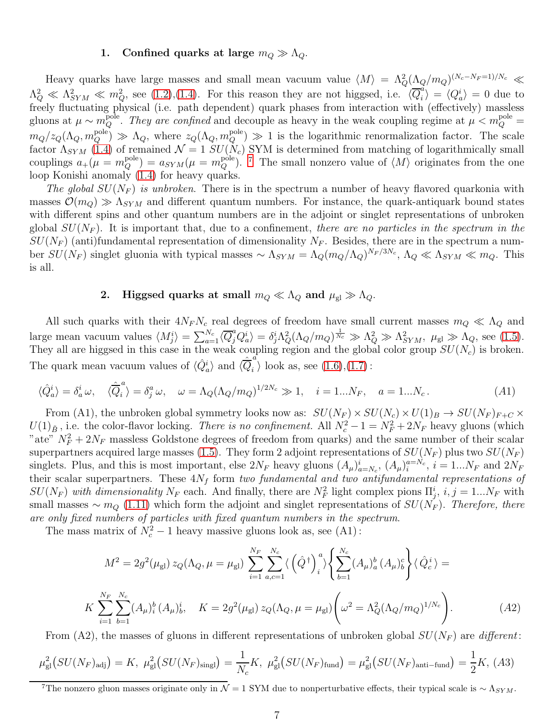#### 1. Confined quarks at large  $m_Q \gg \Lambda_Q$ .

Heavy quarks have large masses and small mean vacuum value  $\langle M \rangle = \Lambda_Q^2 (\Lambda_Q/m_Q)^{(N_c-N_F=1)/N_c} \ll$  $\Lambda_Q^2 \ll \Lambda_{SYM}^2 \ll m_Q^2$ , see [\(1.2\)](#page-0-2),[\(1.4\)](#page-1-4). For this reason they are not higgsed, i.e.  $\langle \overline{Q}_i^d \rangle$  $\langle u_i^a \rangle = \langle Q_a^i \rangle = 0$  due to freely fluctuating physical (i.e. path dependent) quark phases from interaction with (effectively) massless gluons at  $\mu \sim m_Q^{\text{pole}}$ . They are confined and decouple as heavy in the weak coupling regime at  $\mu < m_Q^{\text{pole}} =$  $m_Q/z_Q(\Lambda_Q, m_Q^{\text{pole}}) \gg \Lambda_Q$ , where  $z_Q(\Lambda_Q, m_Q^{\text{pole}}) \gg 1$  is the logarithmic renormalization factor. The scale factor  $\Lambda_{SYM}$  [\(1.4\)](#page-1-4) of remained  $\mathcal{N} = 1$   $SU(N_c)$  SYM is determined from matching of logarithmically small couplings  $a_+(\mu = m_Q^{\text{pole}}) = a_{SYM}(\mu = m_Q^{\text{pole}})$ . [7](#page-6-0) The small nonzero value of  $\langle M \rangle$  originates from the one loop Konishi anomaly [\(1.4\)](#page-1-4) for heavy quarks.

The global  $SU(N_F)$  is unbroken. There is in the spectrum a number of heavy flavored quarkonia with masses  $\mathcal{O}(m_Q) \gg \Lambda_{SYM}$  and different quantum numbers. For instance, the quark-antiquark bound states with different spins and other quantum numbers are in the adjoint or singlet representations of unbroken global  $SU(N_F)$ . It is important that, due to a confinement, there are no particles in the spectrum in the  $SU(N_F)$  (anti)fundamental representation of dimensionality  $N_F$ . Besides, there are in the spectrum a number  $SU(N_F)$  singlet gluonia with typical masses  $\sim \Lambda_{SYM} = \Lambda_Q (m_Q/\Lambda_Q)^{N_F/3N_c}$ ,  $\Lambda_Q \ll \Lambda_{SYM} \ll m_Q$ . This is all.

### 2. Higgsed quarks at small  $m_Q \ll \Lambda_Q$  and  $\mu_{gl} \gg \Lambda_Q$ .

All such quarks with their  $4N_FN_c$  real degrees of freedom have small current masses  $m_Q \ll \Lambda_Q$  and large mean vacuum values  $\langle M_j^i \rangle = \sum_{a=1}^{N_c} \langle \overline{Q}_j^a Q_a^i \rangle = \delta_j^i \Lambda_Q^2 (\Lambda_Q/m_Q)^{\frac{1}{N_c}} \gg \Lambda_Q^2 \gg \Lambda_{SYM}^2$ ,  $\mu_{\rm gl} \gg \Lambda_Q$ , see [\(1.5\)](#page-1-0). They all are higgsed in this case in the weak coupling region and the global color group  $SU(N_c)$  is broken. The quark mean vacuum values of  $\langle \hat{Q}_a^i \rangle$  and  $\langle \hat{\overline{Q}}_i^{\dot{a}} \rangle$  $_i$  \, look as, see [\(1.6\)](#page-1-6),[\(1.7\)](#page-2-0):

$$
\langle \hat{Q}_a^i \rangle = \delta_a^i \omega, \quad \langle \hat{\overline{Q}}_i^a \rangle = \delta_j^a \omega, \quad \omega = \Lambda_Q (\Lambda_Q / m_Q)^{1/2N_c} \gg 1, \quad i = 1...N_F, \quad a = 1...N_c. \tag{A1}
$$

From (A1), the unbroken global symmetry looks now as:  $SU(N_F) \times SU(N_c) \times U(1)_B \to SU(N_F)_{F+C} \times$  $U(1)_{\tilde{B}}$ , i.e. the color-flavor locking. There is no confinement. All  $N_c^2 - 1 = N_F^2 + 2N_F$  heavy gluons (which "ate"  $N_F^2 + 2N_F$  massless Goldstone degrees of freedom from quarks) and the same number of their scalar superpartners acquired large masses [\(1.5\)](#page-1-0). They form 2 adjoint representations of  $SU(N_F)$  plus two  $SU(N_F)$ singlets. Plus, and this is most important, else  $2N_F$  heavy gluons  $(A_\mu)^i_{a=N_c}$ ,  $(A_\mu)^{a=N_c}_i$ ,  $i=1...N_F$  and  $2N_F$ their scalar superpartners. These  $4N_f$  form two fundamental and two antifundamental representations of  $SU(N_F)$  with dimensionality  $N_F$  each. And finally, there are  $N_F^2$  light complex pions  $\Pi_j^i$ ,  $i, j = 1...N_F$  with small masses  $\sim m_Q$  [\(1.11\)](#page-2-2) which form the adjoint and singlet representations of  $SU(N_F)$ . Therefore, there are only fixed numbers of particles with fixed quantum numbers in the spectrum.

The mass matrix of  $N_c^2 - 1$  heavy massive gluons look as, see (A1):

$$
M^{2} = 2g^{2}(\mu_{gl}) z_{Q}(\Lambda_{Q}, \mu = \mu_{gl}) \sum_{i=1}^{N_{F}} \sum_{a,c=1}^{N_{c}} \langle (\hat{Q}^{\dagger})_{i}^{a} \rangle \left\{ \sum_{b=1}^{N_{c}} (A_{\mu})_{a}^{b} (A_{\mu})_{b}^{c} \right\} \langle \hat{Q}_{c}^{i} \rangle =
$$
  

$$
K \sum_{i=1}^{N_{F}} \sum_{b=1}^{N_{c}} (A_{\mu})_{i}^{b} (A_{\mu})_{b}^{i}, \quad K = 2g^{2}(\mu_{gl}) z_{Q}(\Lambda_{Q}, \mu = \mu_{gl}) \left( \omega^{2} = \Lambda_{Q}^{2}(\Lambda_{Q}/m_{Q})^{1/N_{c}} \right).
$$
 (A2)

From (A2), the masses of gluons in different representations of unbroken global  $SU(N_F)$  are different:

$$
\mu_{gl}^{2}(SU(N_{F})_{\text{adj}}) = K, \ \mu_{gl}^{2}(SU(N_{F})_{\text{sing}}) = \frac{1}{N_{c}}K, \ \mu_{gl}^{2}(SU(N_{F})_{\text{fund}}) = \mu_{gl}^{2}(SU(N_{F})_{\text{anti-fund}}) = \frac{1}{2}K, \ (A3)
$$

<span id="page-6-0"></span><sup>&</sup>lt;sup>7</sup>The nonzero gluon masses originate only in  $\mathcal{N} = 1$  SYM due to nonperturbative effects, their typical scale is  $\sim \Lambda_{SYM}$ .